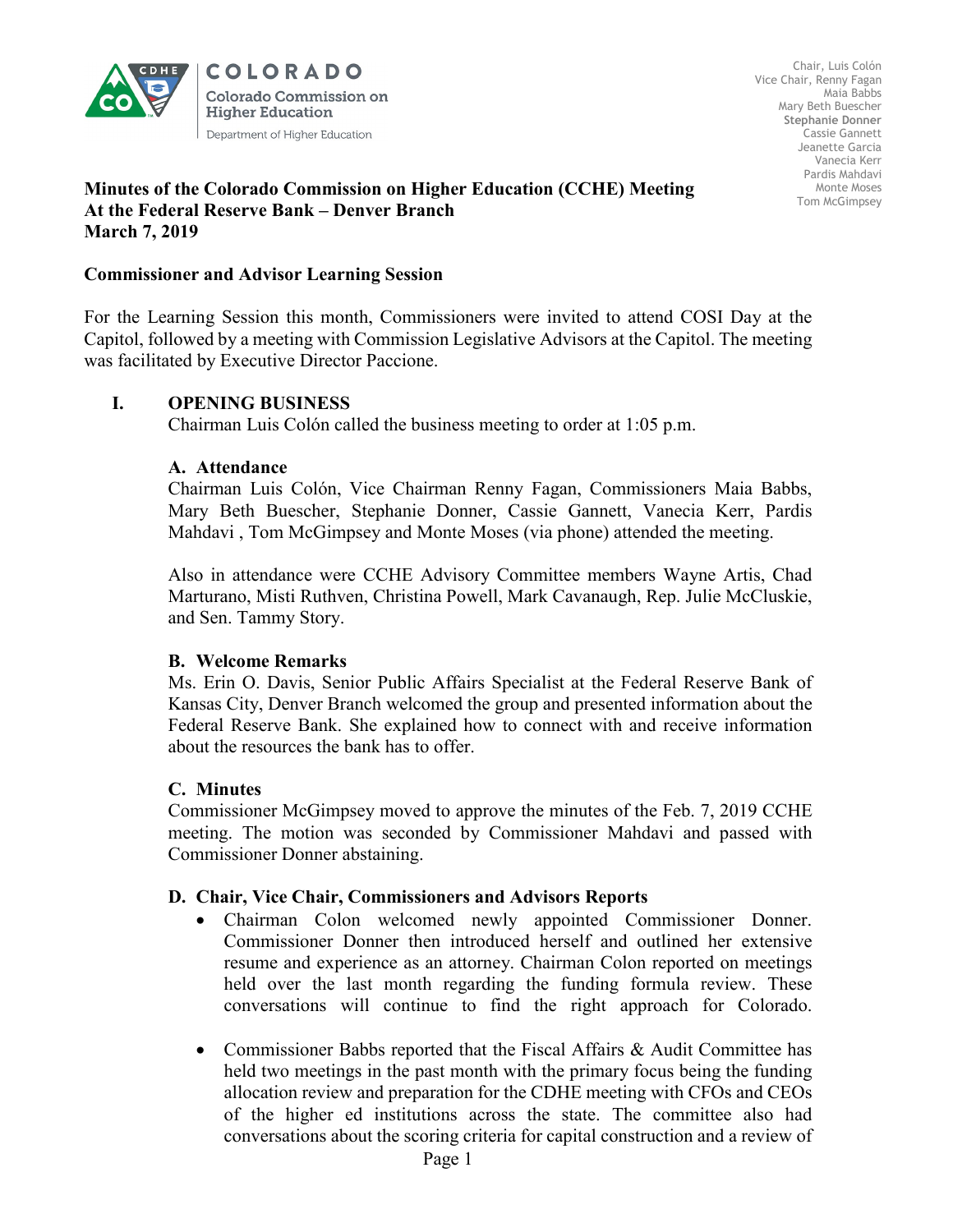

**COLORADO Colorado Commission on Higher Education** Department of Higher Education

Chair, Luis Colón Vice Chair, Renny Fagan Maia Babbs Mary Beth Buescher **Stephanie Donner**  Cassie Gannett Jeanette Garcia Vanecia Kerr Pardis Mahdavi Monte Moses Tom McGimpsey

#### **Minutes of the Colorado Commission on Higher Education (CCHE) Meeting At the Federal Reserve Bank – Denver Branch March 7, 2019**

## **Commissioner and Advisor Learning Session**

For the Learning Session this month, Commissioners were invited to attend COSI Day at the Capitol, followed by a meeting with Commission Legislative Advisors at the Capitol. The meeting was facilitated by Executive Director Paccione.

## **I. OPENING BUSINESS**

Chairman Luis Colón called the business meeting to order at 1:05 p.m.

### **A. Attendance**

Chairman Luis Colón, Vice Chairman Renny Fagan, Commissioners Maia Babbs, Mary Beth Buescher, Stephanie Donner, Cassie Gannett, Vanecia Kerr, Pardis Mahdavi , Tom McGimpsey and Monte Moses (via phone) attended the meeting.

Also in attendance were CCHE Advisory Committee members Wayne Artis, Chad Marturano, Misti Ruthven, Christina Powell, Mark Cavanaugh, Rep. Julie McCluskie, and Sen. Tammy Story.

### **B. Welcome Remarks**

Ms. Erin O. Davis, Senior Public Affairs Specialist at the Federal Reserve Bank of Kansas City, Denver Branch welcomed the group and presented information about the Federal Reserve Bank. She explained how to connect with and receive information about the resources the bank has to offer.

### **C. Minutes**

Commissioner McGimpsey moved to approve the minutes of the Feb. 7, 2019 CCHE meeting. The motion was seconded by Commissioner Mahdavi and passed with Commissioner Donner abstaining.

### **D. Chair, Vice Chair, Commissioners and Advisors Reports**

- Chairman Colon welcomed newly appointed Commissioner Donner. Commissioner Donner then introduced herself and outlined her extensive resume and experience as an attorney. Chairman Colon reported on meetings held over the last month regarding the funding formula review. These conversations will continue to find the right approach for Colorado.
- Commissioner Babbs reported that the Fiscal Affairs & Audit Committee has held two meetings in the past month with the primary focus being the funding allocation review and preparation for the CDHE meeting with CFOs and CEOs of the higher ed institutions across the state. The committee also had conversations about the scoring criteria for capital construction and a review of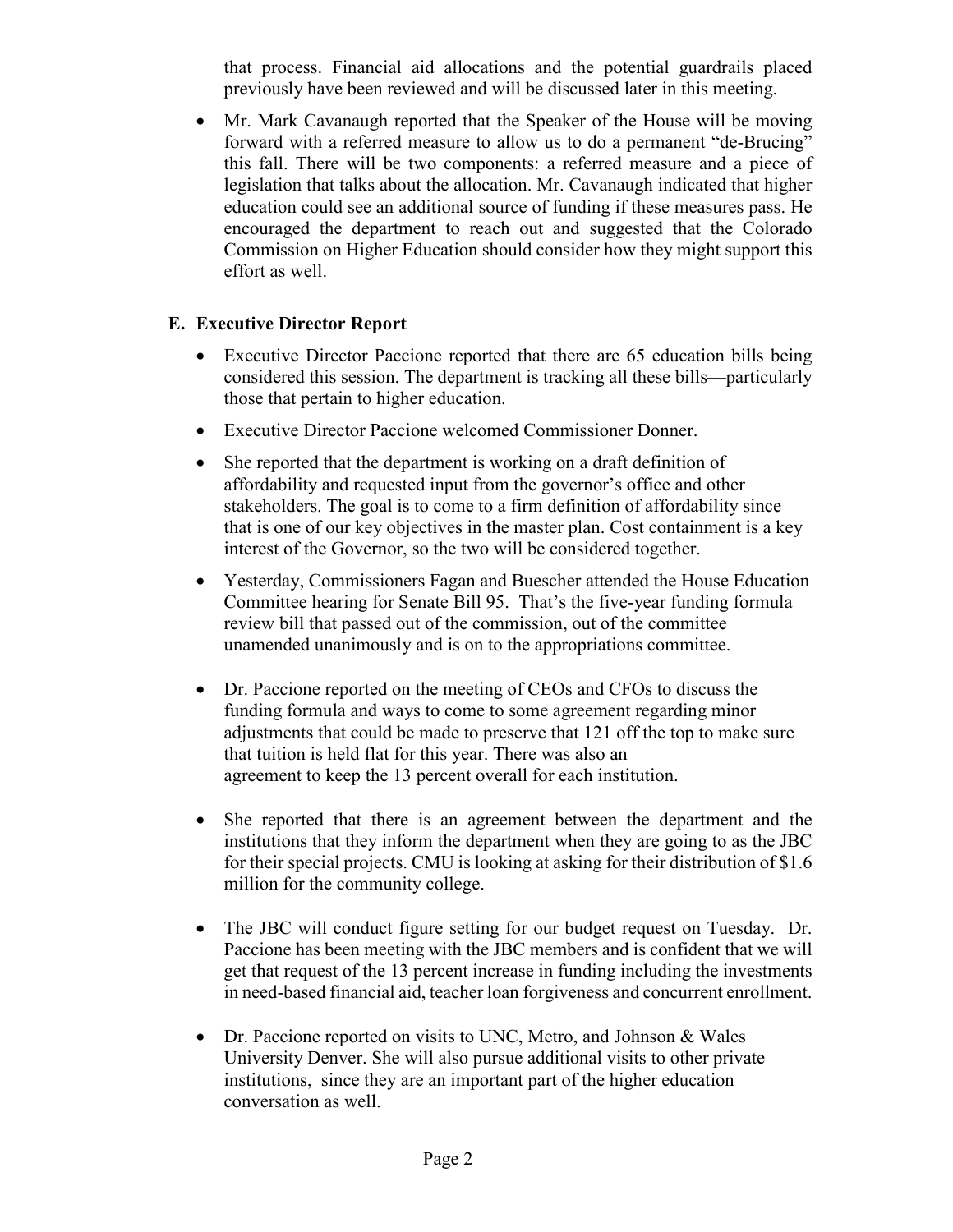that process. Financial aid allocations and the potential guardrails placed previously have been reviewed and will be discussed later in this meeting.

• Mr. Mark Cavanaugh reported that the Speaker of the House will be moving forward with a referred measure to allow us to do a permanent "de-Brucing" this fall. There will be two components: a referred measure and a piece of legislation that talks about the allocation. Mr. Cavanaugh indicated that higher education could see an additional source of funding if these measures pass. He encouraged the department to reach out and suggested that the Colorado Commission on Higher Education should consider how they might support this effort as well.

# **E. Executive Director Report**

- Executive Director Paccione reported that there are 65 education bills being considered this session. The department is tracking all these bills—particularly those that pertain to higher education.
- Executive Director Paccione welcomed Commissioner Donner.
- She reported that the department is working on a draft definition of affordability and requested input from the governor's office and other stakeholders. The goal is to come to a firm definition of affordability since that is one of our key objectives in the master plan. Cost containment is a key interest of the Governor, so the two will be considered together.
- Yesterday, Commissioners Fagan and Buescher attended the House Education Committee hearing for Senate Bill 95. That's the five-year funding formula review bill that passed out of the commission, out of the committee unamended unanimously and is on to the appropriations committee.
- Dr. Paccione reported on the meeting of CEOs and CFOs to discuss the funding formula and ways to come to some agreement regarding minor adjustments that could be made to preserve that 121 off the top to make sure that tuition is held flat for this year. There was also an agreement to keep the 13 percent overall for each institution.
- She reported that there is an agreement between the department and the institutions that they inform the department when they are going to as the JBC for their special projects. CMU is looking at asking for their distribution of \$1.6 million for the community college.
- The JBC will conduct figure setting for our budget request on Tuesday. Dr. Paccione has been meeting with the JBC members and is confident that we will get that request of the 13 percent increase in funding including the investments in need-based financial aid, teacher loan forgiveness and concurrent enrollment.
- Dr. Paccione reported on visits to UNC, Metro, and Johnson & Wales University Denver. She will also pursue additional visits to other private institutions, since they are an important part of the higher education conversation as well.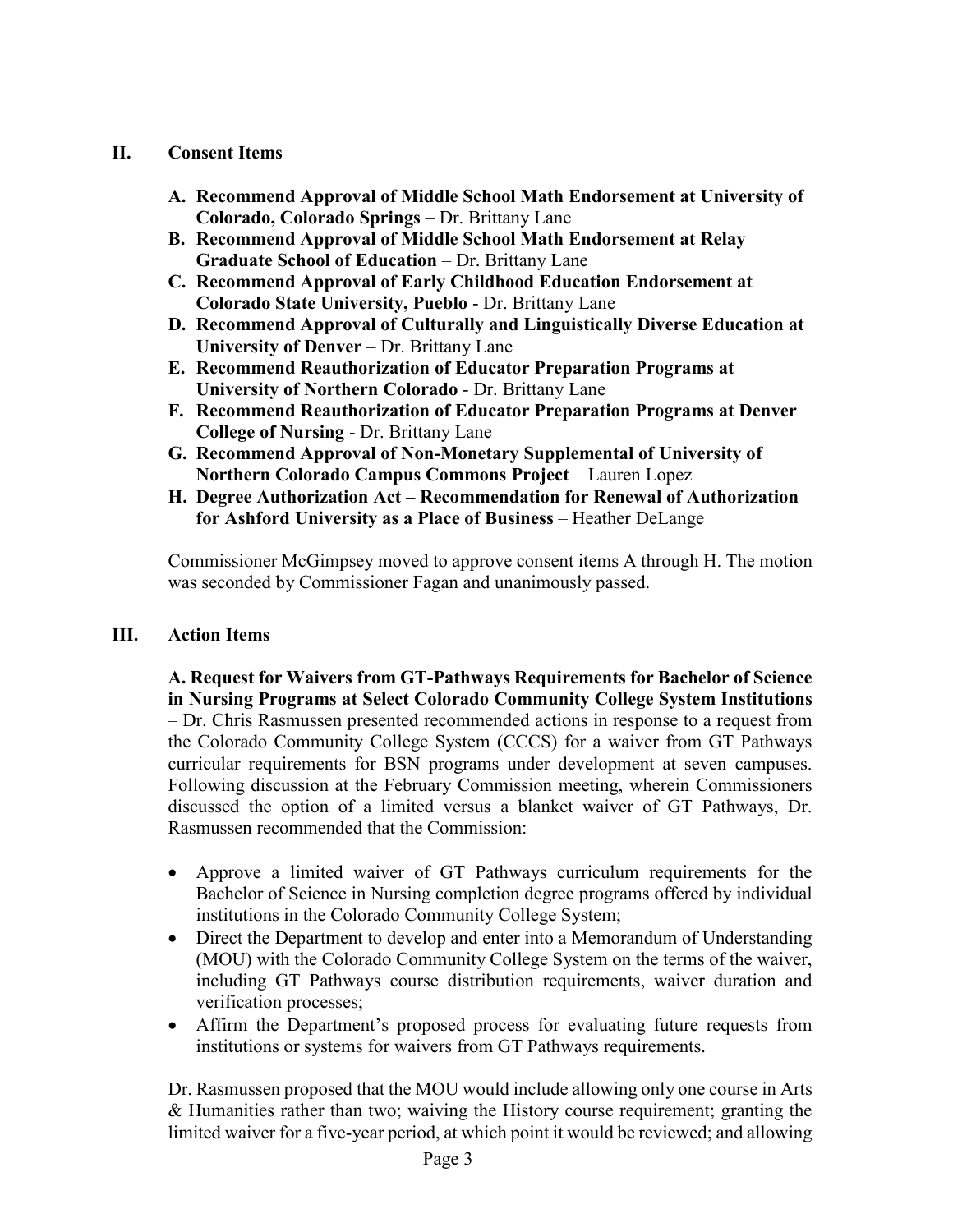# **II. Consent Items**

- **A. Recommend Approval of Middle School Math Endorsement at University of Colorado, Colorado Springs** – Dr. Brittany Lane
- **B. Recommend Approval of Middle School Math Endorsement at Relay Graduate School of Education** – Dr. Brittany Lane
- **C. Recommend Approval of Early Childhood Education Endorsement at Colorado State University, Pueblo** - Dr. Brittany Lane
- **D. Recommend Approval of Culturally and Linguistically Diverse Education at University of Denver** – Dr. Brittany Lane
- **E. Recommend Reauthorization of Educator Preparation Programs at University of Northern Colorado** - Dr. Brittany Lane
- **F. Recommend Reauthorization of Educator Preparation Programs at Denver College of Nursing** - Dr. Brittany Lane
- **G. Recommend Approval of Non-Monetary Supplemental of University of Northern Colorado Campus Commons Project** – Lauren Lopez
- **H. Degree Authorization Act – Recommendation for Renewal of Authorization for Ashford University as a Place of Business** – Heather DeLange

Commissioner McGimpsey moved to approve consent items A through H. The motion was seconded by Commissioner Fagan and unanimously passed.

# **III. Action Items**

**A. Request for Waivers from GT-Pathways Requirements for Bachelor of Science in Nursing Programs at Select Colorado Community College System Institutions** – Dr. Chris Rasmussen presented recommended actions in response to a request from the Colorado Community College System (CCCS) for a waiver from GT Pathways curricular requirements for BSN programs under development at seven campuses. Following discussion at the February Commission meeting, wherein Commissioners discussed the option of a limited versus a blanket waiver of GT Pathways, Dr. Rasmussen recommended that the Commission:

- Approve a limited waiver of GT Pathways curriculum requirements for the Bachelor of Science in Nursing completion degree programs offered by individual institutions in the Colorado Community College System;
- Direct the Department to develop and enter into a Memorandum of Understanding (MOU) with the Colorado Community College System on the terms of the waiver, including GT Pathways course distribution requirements, waiver duration and verification processes;
- Affirm the Department's proposed process for evaluating future requests from institutions or systems for waivers from GT Pathways requirements.

Dr. Rasmussen proposed that the MOU would include allowing only one course in Arts & Humanities rather than two; waiving the History course requirement; granting the limited waiver for a five-year period, at which point it would be reviewed; and allowing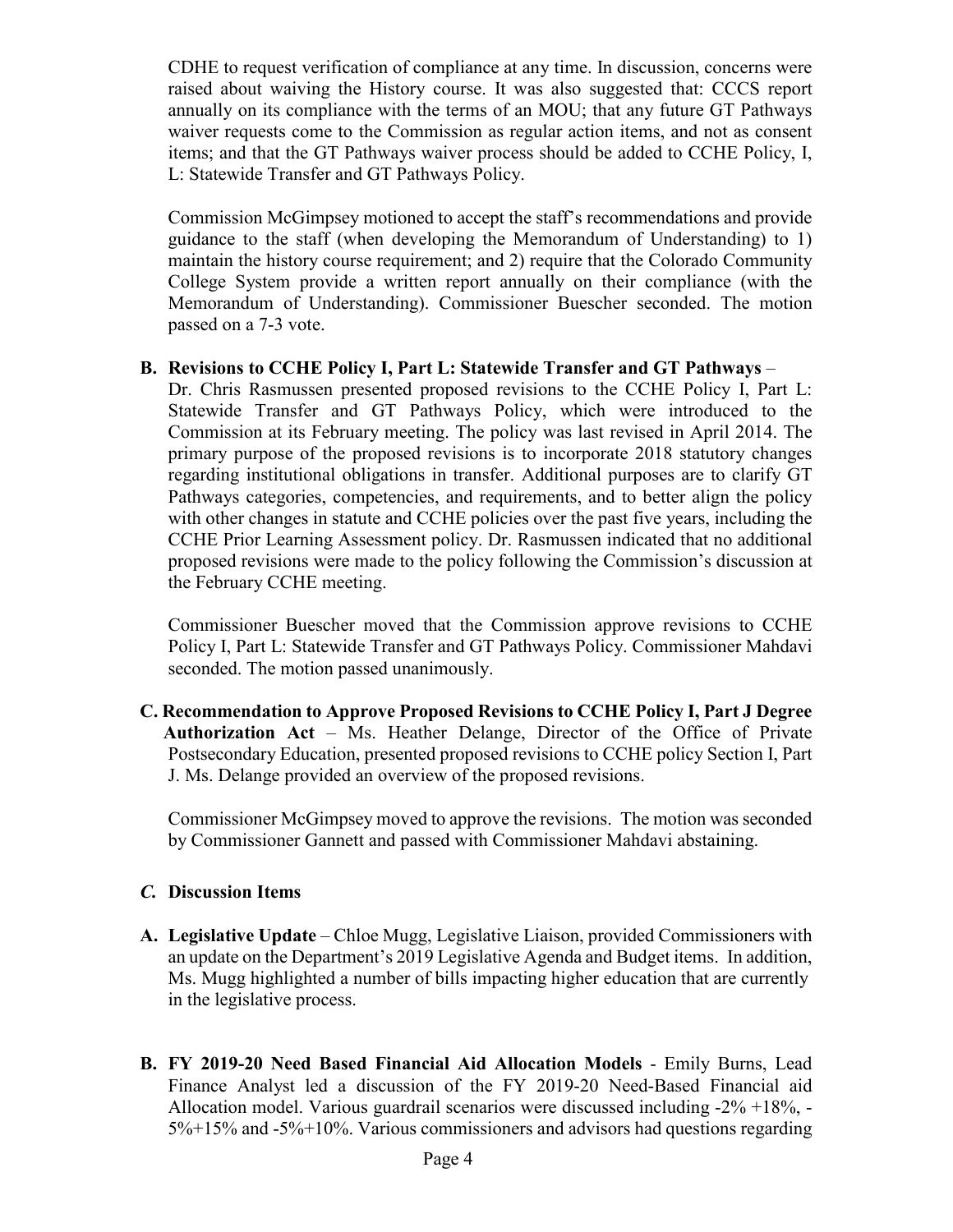CDHE to request verification of compliance at any time. In discussion, concerns were raised about waiving the History course. It was also suggested that: CCCS report annually on its compliance with the terms of an MOU; that any future GT Pathways waiver requests come to the Commission as regular action items, and not as consent items; and that the GT Pathways waiver process should be added to CCHE Policy, I, L: Statewide Transfer and GT Pathways Policy.

Commission McGimpsey motioned to accept the staff's recommendations and provide guidance to the staff (when developing the Memorandum of Understanding) to 1) maintain the history course requirement; and 2) require that the Colorado Community College System provide a written report annually on their compliance (with the Memorandum of Understanding). Commissioner Buescher seconded. The motion passed on a 7-3 vote.

## **B. Revisions to CCHE Policy I, Part L: Statewide Transfer and GT Pathways** –

Dr. Chris Rasmussen presented proposed revisions to the CCHE Policy I, Part L: Statewide Transfer and GT Pathways Policy, which were introduced to the Commission at its February meeting. The policy was last revised in April 2014. The primary purpose of the proposed revisions is to incorporate 2018 statutory changes regarding institutional obligations in transfer. Additional purposes are to clarify GT Pathways categories, competencies, and requirements, and to better align the policy with other changes in statute and CCHE policies over the past five years, including the CCHE Prior Learning Assessment policy. Dr. Rasmussen indicated that no additional proposed revisions were made to the policy following the Commission's discussion at the February CCHE meeting.

Commissioner Buescher moved that the Commission approve revisions to CCHE Policy I, Part L: Statewide Transfer and GT Pathways Policy. Commissioner Mahdavi seconded. The motion passed unanimously.

**C. Recommendation to Approve Proposed Revisions to CCHE Policy I, Part J Degree Authorization Act** – Ms. Heather Delange, Director of the Office of Private Postsecondary Education, presented proposed revisions to CCHE policy Section I, Part J. Ms. Delange provided an overview of the proposed revisions.

Commissioner McGimpsey moved to approve the revisions. The motion was seconded by Commissioner Gannett and passed with Commissioner Mahdavi abstaining.

# *C.* **Discussion Items**

- **A. Legislative Update** Chloe Mugg, Legislative Liaison, provided Commissioners with an update on the Department's 2019 Legislative Agenda and Budget items. In addition, Ms. Mugg highlighted a number of bills impacting higher education that are currently in the legislative process.
- **B. FY 2019-20 Need Based Financial Aid Allocation Models** Emily Burns, Lead Finance Analyst led a discussion of the FY 2019-20 Need-Based Financial aid Allocation model. Various guardrail scenarios were discussed including -2% +18%, - 5%+15% and -5%+10%. Various commissioners and advisors had questions regarding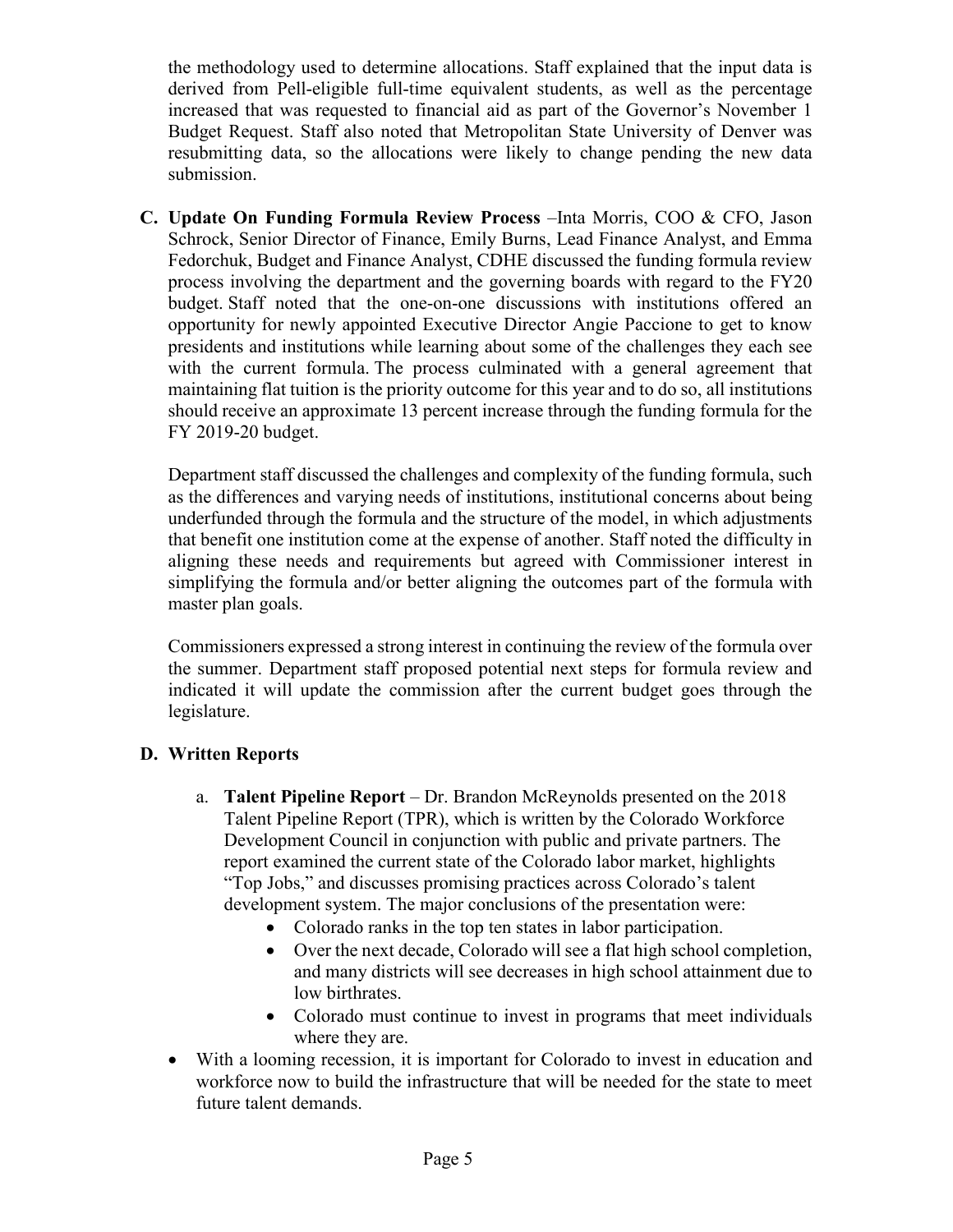the methodology used to determine allocations. Staff explained that the input data is derived from Pell-eligible full-time equivalent students, as well as the percentage increased that was requested to financial aid as part of the Governor's November 1 Budget Request. Staff also noted that Metropolitan State University of Denver was resubmitting data, so the allocations were likely to change pending the new data submission.

**C. Update On Funding Formula Review Process** –Inta Morris, COO & CFO, Jason Schrock, Senior Director of Finance, Emily Burns, Lead Finance Analyst, and Emma Fedorchuk, Budget and Finance Analyst, CDHE discussed the funding formula review process involving the department and the governing boards with regard to the FY20 budget. Staff noted that the one-on-one discussions with institutions offered an opportunity for newly appointed Executive Director Angie Paccione to get to know presidents and institutions while learning about some of the challenges they each see with the current formula. The process culminated with a general agreement that maintaining flat tuition is the priority outcome for this year and to do so, all institutions should receive an approximate 13 percent increase through the funding formula for the FY 2019-20 budget.

Department staff discussed the challenges and complexity of the funding formula, such as the differences and varying needs of institutions, institutional concerns about being underfunded through the formula and the structure of the model, in which adjustments that benefit one institution come at the expense of another. Staff noted the difficulty in aligning these needs and requirements but agreed with Commissioner interest in simplifying the formula and/or better aligning the outcomes part of the formula with master plan goals.

Commissioners expressed a strong interest in continuing the review of the formula over the summer. Department staff proposed potential next steps for formula review and indicated it will update the commission after the current budget goes through the legislature.

# **D. Written Reports**

- a. **Talent Pipeline Report**  Dr. Brandon McReynolds presented on the 2018 Talent Pipeline Report (TPR), which is written by the Colorado Workforce Development Council in conjunction with public and private partners. The report examined the current state of the Colorado labor market, highlights "Top Jobs," and discusses promising practices across Colorado's talent development system. The major conclusions of the presentation were:
	- Colorado ranks in the top ten states in labor participation.
	- Over the next decade, Colorado will see a flat high school completion, and many districts will see decreases in high school attainment due to low birthrates.
	- Colorado must continue to invest in programs that meet individuals where they are.
- With a looming recession, it is important for Colorado to invest in education and workforce now to build the infrastructure that will be needed for the state to meet future talent demands.